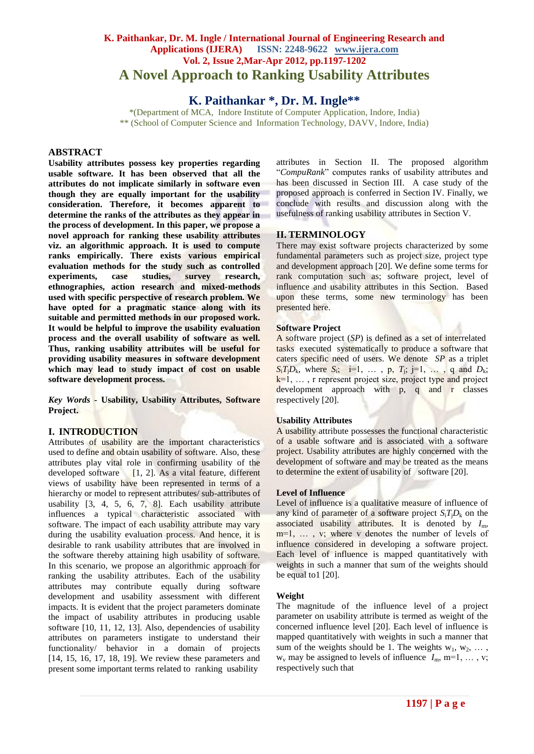# **K. Paithankar, Dr. M. Ingle / International Journal of Engineering Research and Applications (IJERA) ISSN: 2248-9622 www.ijera.com Vol. 2, Issue 2,Mar-Apr 2012, pp.1197-1202 A Novel Approach to Ranking Usability Attributes**

# **K. Paithankar \*, Dr. M. Ingle\*\***

\*(Department of MCA, Indore Institute of Computer Application, Indore, India) \*\* (School of Computer Science and Information Technology, DAVV, Indore, India)

# **ABSTRACT**

**Usability attributes possess key properties regarding usable software. It has been observed that all the attributes do not implicate similarly in software even though they are equally important for the usability consideration. Therefore, it becomes apparent to determine the ranks of the attributes as they appear in the process of development. In this paper, we propose a novel approach for ranking these usability attributes viz. an algorithmic approach. It is used to compute ranks empirically. There exists various empirical evaluation methods for the study such as controlled experiments, case studies, survey research, ethnographies, action research and mixed-methods used with specific perspective of research problem. We have opted for a pragmatic stance along with its suitable and permitted methods in our proposed work. It would be helpful to improve the usability evaluation process and the overall usability of software as well. Thus, ranking usability attributes will be useful for providing usability measures in software development which may lead to study impact of cost on usable software development process.**

*Key Words -* **Usability, Usability Attributes, Software Project.**

# **I. INTRODUCTION**

Attributes of usability are the important characteristics used to define and obtain usability of software. Also, these attributes play vital role in confirming usability of the developed software  $[1, 2]$ . As a vital feature, different views of usability have been represented in terms of a hierarchy or model to represent attributes/ sub-attributes of usability [3, 4, 5, 6, 7, 8]. Each usability attribute influences a typical characteristic associated with software. The impact of each usability attribute may vary during the usability evaluation process. And hence, it is desirable to rank usability attributes that are involved in the software thereby attaining high usability of software. In this scenario, we propose an algorithmic approach for ranking the usability attributes. Each of the usability attributes may contribute equally during software development and usability assessment with different impacts. It is evident that the project parameters dominate the impact of usability attributes in producing usable software [10, 11, 12, 13]. Also, dependencies of usability attributes on parameters instigate to understand their functionality/ behavior in a domain of projects [14, 15, 16, 17, 18, 19]. We review these parameters and present some important terms related to ranking usability

attributes in Section II. The proposed algorithm "*CompuRank*" computes ranks of usability attributes and has been discussed in Section III. A case study of the proposed approach is conferred in Section IV. Finally, we conclude with results and discussion along with the usefulness of ranking usability attributes in Section V.

# **II. TERMINOLOGY**

There may exist software projects characterized by some fundamental parameters such as project size, project type and development approach [20]. We define some terms for rank computation such as; software project, level of influence and usability attributes in this Section. Based upon these terms, some new terminology has been presented here.

# **Software Project**

A software project (*SP*) is defined as a set of interrelated tasks executed systematically to produce a software that caters specific need of users. We denote *SP* as a triplet  $S_i T_j D_k$ , where  $S_i$ ; i=1, ..., p,  $T_j$ ; j=1, ..., q and  $D_k$ ;  $k=1, \ldots$ , r represent project size, project type and project development approach with p, q and r classes respectively [20].

# **Usability Attributes**

A usability attribute possesses the functional characteristic of a usable software and is associated with a software project. Usability attributes are highly concerned with the development of software and may be treated as the means to determine the extent of usability of software [20].

# **Level of Influence**

Level of influence is a qualitative measure of influence of any kind of parameter of a software project  $S_i T_i D_k$  on the associated usability attributes. It is denoted by *I*m,  $m=1, \ldots, v$ ; where v denotes the number of levels of influence considered in developing a software project. Each level of influence is mapped quantitatively with weights in such a manner that sum of the weights should be equal to1 [20].

# **Weight**

The magnitude of the influence level of a project parameter on usability attribute is termed as weight of the concerned influence level [20]. Each level of influence is mapped quantitatively with weights in such a manner that sum of the weights should be 1. The weights  $w_1, w_2, \ldots$ ,  $w_v$  may be assigned to levels of influence  $I_m$ , m=1, ..., v; respectively such that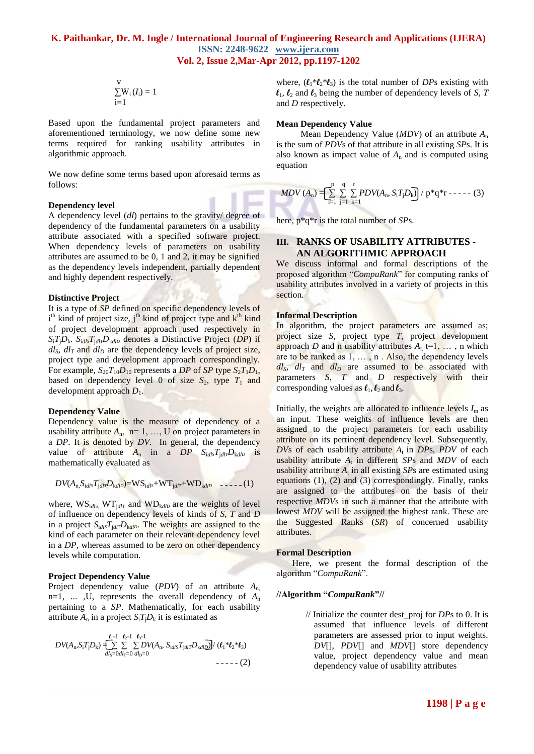$$
\sum_{i=1}^{V} W_i (I_i) = 1
$$

Based upon the fundamental project parameters and aforementioned terminology, we now define some new terms required for ranking usability attributes in algorithmic approach.

We now define some terms based upon aforesaid terms as follows:

#### **Dependency level**

A dependency level (*dl*) pertains to the gravity/ degree of dependency of the fundamental parameters on a usability attribute associated with a specified software project. When dependency levels of parameters on usability attributes are assumed to be 0, 1 and 2, it may be signified as the dependency levels independent, partially dependent and highly dependent respectively.

#### **Distinctive Project**

It is a type of *SP* defined on specific dependency levels of i<sup>th</sup> kind of project size, j<sup>th</sup> kind of project type and k<sup>th</sup> kind of project development approach used respectively in  $S_i T_i D_k$ .  $S_{i d l s} T_{i d l \tau} D_{k d l D}$  denotes a Distinctive Project (*DP*) if  $dl_s$ ,  $dl_t$  and  $dl_b$  are the dependency levels of project size, project type and development approach correspondingly. For example,  $S_{20}T_{10}D_{10}$  represents a *DP* of *SP* type  $S_2T_1D_1$ , based on dependency level 0 of size  $S_2$ , type  $T_1$  and development approach *D*1.

# **Dependency Value**

Dependency value is the measure of dependency of a usability attribute  $A_n$ ,  $n=1, ..., U$  on project parameters in a *DP*. It is denoted by *DV*. In general, the dependency value of attribute  $A_n$  in a  $DP$   $S_{idl}T_{idl}T_{d}D_{kd}D$  is mathematically evaluated as

$$
DV(A_{n, S_{idl}s}T_{jdlr}D_{kdlb}) = WS_{idls} + WT_{jdlr} + WD_{kdlb} \quad \text{---} \tag{1}
$$

where,  $WS_{id/s}$ ,  $WT_{id/T}$  and  $WD_{kd/D}$  are the weights of level of influence on dependency levels of kinds of *S*, *T* and *D* in a project  $S_{\text{i}d\text{i}S}T_{\text{i}d\text{i}T}D_{\text{k}d\text{i}D}$ . The weights are assigned to the kind of each parameter on their relevant dependency level in a *DP,* whereas assumed to be zero on other dependency levels while computation.

#### **Project Dependency Value**

Project dependency value (*PDV*) of an attribute *A*n, n=1, ... ,U, represents the overall dependency of  $A_n$ pertaining to a *SP*. Mathematically, for each usability attribute  $A_n$  in a project  $S_i T_i D_k$  it is estimated as

$$
DV(A_n, S_i T_j D_k) =\n \begin{cases}\n \sum_{d_1=0}^{L_1-1} \sum_{d_2=0}^{L_2-1} \sum_{d_1=0}^{L_3-1} DV(A_n, S_{idIS} T_{jdlT} D_{kdID}) / (\ell_1 * \ell_2 * \ell_3) \\
 \text{if } d_1 = 0\n \end{cases}
$$

where,  $(l_1 * l_2 * l_3)$  is the total number of *DPs* existing with  $\ell_1$ ,  $\ell_2$  and  $\ell_3$  being the number of dependency levels of *S*, *T* and *D* respectively.

#### **Mean Dependency Value**

Mean Dependency Value (*MDV*) of an attribute *A*<sup>n</sup> is the sum of *PDV*s of that attribute in all existing *SP*s. It is also known as impact value of  $A_n$  and is computed using equation

$$
MDV(A_n) = \left[\sum_{i=1}^{p} \sum_{j=1}^{q} \sum_{k=1}^{r} PDV(A_n, S_i T_j D_k)\right] / p^*q^*r \cdots (3)
$$

here, p\*q\*r is the total number of *SP*s.

# **III. RANKS OF USABILITY ATTRIBUTES - AN ALGORITHMIC APPROACH**

We discuss informal and formal descriptions of the proposed algorithm "*CompuRank*" for computing ranks of usability attributes involved in a variety of projects in this section.

#### **Informal Description**

In algorithm, the project parameters are assumed as; project size *S*, project type *T*, project development approach *D* and n usability attributes  $A_t$  t=1, ..., n which are to be ranked as 1, … , n . Also, the dependency levels  $dl_s$ ,  $dl_T$  and  $dl_D$  are assumed to be associated with parameters *S*, *T* and *D* respectively with their corresponding values as  $\ell_1, \ell_2$  and  $\ell_3$ .

Initially, the weights are allocated to influence levels  $I_m$  as an input. These weights of influence levels are then assigned to the project parameters for each usability attribute on its pertinent dependency level. Subsequently, *DV*s of each usability attribute *A*t in *DP*s, *PDV* of each usability attribute  $A_t$  in different *SPs* and *MDV* of each usability attribute  $A_t$  in all existing  $SPs$  are estimated using equations (1), (2) and (3) correspondingly. Finally, ranks are assigned to the attributes on the basis of their respective *MDV*s in such a manner that the attribute with lowest *MDV* will be assigned the highest rank. These are the Suggested Ranks (*SR*) of concerned usability attributes.

# **Formal Description**

Here, we present the formal description of the algorithm "*CompuRank*".

### **//Algorithm "***CompuRank***"//**

 // Initialize the counter dest\_proj for *DP*s to 0. It is assumed that influence levels of different parameters are assessed prior to input weights. *DV*[], *PDV*[] and *MDV*[] store dependency value, project dependency value and mean dependency value of usability attributes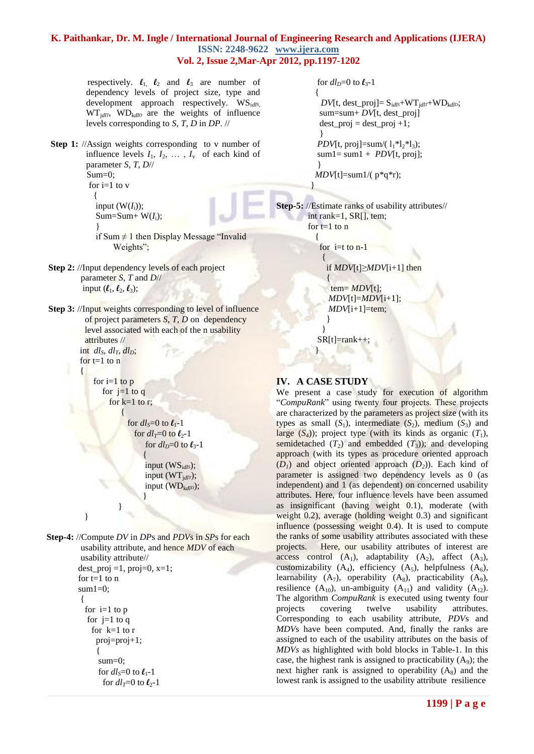respectively.  $\ell_1$ ,  $\ell_2$  and  $\ell_3$  are number of dependency levels of project size, type and development approach respectively. WSi*dlS*,  $WT_{idIT}$ ,  $WD_{kdID}$  are the weights of influence levels corresponding to *S*, *T*, *D* in *DP*. //

**Step 1:** //Assign weights corresponding to v number of influence levels  $I_1, I_2, \ldots, I_v$  of each kind of parameter *S*, *T*, *D*// Sum=0; for  $i=1$  to  $v$  $\left\{ \begin{array}{c} 1 & 1 \\ 1 & 1 \end{array} \right\}$ input  $(W(I_i))$ ;  $Sum = Sum + W(I_i);$ }

if Sum  $\neq$  1 then Display Message "Invalid" Weights";

**Step 2:** //Input dependency levels of each project parameter *S*, *T* and *D*// input  $(\boldsymbol{\ell}_1, \boldsymbol{\ell}_2, \boldsymbol{\ell}_3);$ 

**Step 3:** //Input weights corresponding to level of influence of project parameters *S*, *T*, *D* on dependency level associated with each of the n usability attributes // int  $dl_S$ ,  $dl_T$ ,  $dl_D$ ; for  $t=1$  to  $n$ 

> for  $i=1$  to  $p$ for  $i=1$  to q for  $k=1$  to r;

> > for  $dl_s=0$  to  $\ell_1$ -1 for  $dl_T=0$  to  $\ell_2$ -1 for  $dl<sub>D</sub>=0$  to  $\ell_3$ -1

and the state of the state of the state of the state of the state of the state of the state of the state of the input (WSi*dlS*); input (WTj*dlT*); input (WD<sub>kdl</sub><sub>*D*</sub>); *}* 

```
 }
 }
```
 $\overline{a}$ 

 $\overline{\phantom{a}}$ 

**Step-4:** //Compute *DV* in *DP*s and *PDV*s in *SP*s for each usability attribute, and hence *MDV* of each usability attribute// dest proj =1, proj =0,  $x=1$ ; for  $t=1$  to  $n$  $sum1=0$ :  $\left\{\begin{array}{c} \end{array}\right\}$ for  $i=1$  to  $p$ for  $i=1$  to q for k=1 to r proj=proj+1; { sum=0; for  $dl_s=0$  to  $\ell_1$ -1 for  $dl_T=0$  to  $\ell_2$ -1

```
for dl<sub>D</sub>=0 to \ell<sub>3</sub>-1
\{DV[t, dest\_proj] = S_{idls} + WT_{idl} + WD_{kdlb}; sum=sum+ DV[t, dest_proj]
       dest proj = dest\_proj +1; }
       PDV[t, proj]=sum/(l_1*l_2*l_3);
       sum1 = sum1 + PDV[t, proj]; }
       MDV[t]=sum1/( p*q*r);
 }
```
**Step-5:** //Estimate ranks of usability attributes// int rank=1, SR[], tem; for  $t=1$  to  $n$ {

for  $i=t$  to  $n-1$  $\left\{\begin{array}{c} \end{array}\right\}$ 

if *MDV*[t]≥*MDV*[i+1] then

 { tem= *MDV*[t]; *MDV*[t]=*MDV*[i+1];  $MDV[i+1]$ =tem; }

}  $SR[t]=rank++;$ 

# **IV. A CASE STUDY**

}

We present a case study for execution of algorithm "*CompuRank*" using twenty four projects. These projects are characterized by the parameters as project size (with its types as small  $(S_1)$ , intermediate  $(S_2)$ , medium  $(S_3)$  and large  $(S_4)$ ); project type (with its kinds as organic  $(T_1)$ , semidetached  $(T_2)$  and embedded  $(T_3)$ ; and developing approach (with its types as procedure oriented approach  $(D_1)$  and object oriented approach  $(D_2)$ ). Each kind of parameter is assigned two dependency levels as 0 (as independent) and 1 (as dependent) on concerned usability attributes. Here, four influence levels have been assumed as insignificant (having weight 0.1), moderate (with weight 0.2), average (holding weight 0.3) and significant influence (possessing weight 0.4). It is used to compute the ranks of some usability attributes associated with these projects. Here, our usability attributes of interest are access control  $(A_1)$ , adaptability  $(A_2)$ , affect  $(A_3)$ , customizability  $(A_4)$ , efficiency  $(A_5)$ , helpfulness  $(A_6)$ , learnability  $(A_7)$ , operability  $(A_8)$ , practicability  $(A_9)$ , resilience  $(A_{10})$ , un-ambiguity  $(A_{11})$  and validity  $(A_{12})$ . The algorithm *CompuRank* is executed using twenty four projects covering twelve usability attributes. Corresponding to each usability attribute, *PDV*s and *MDV*s have been computed. And, finally the ranks are assigned to each of the usability attributes on the basis of *MDVs* as highlighted with bold blocks in Table-1. In this case, the highest rank is assigned to practicability  $(A<sub>9</sub>)$ ; the next higher rank is assigned to operability  $(A_8)$  and the lowest rank is assigned to the usability attribute resilience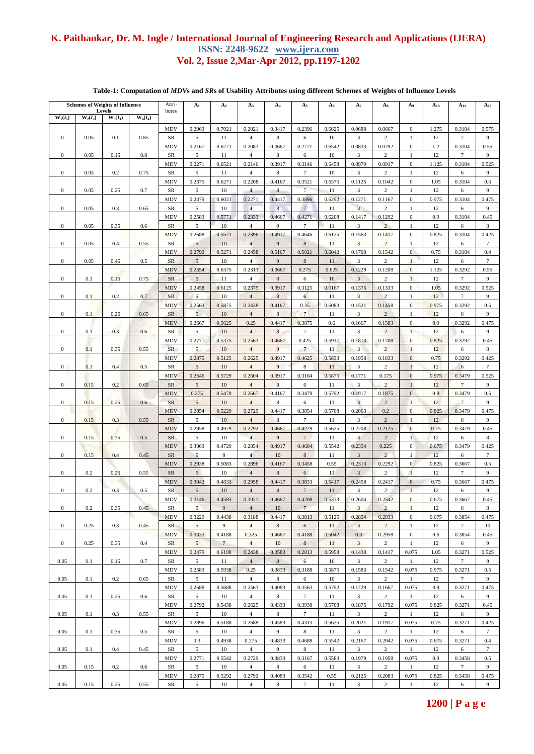# **Table-1: Computation of** *MDV***s and** *SR***s of Usability Attributes using different Schemes of Weights of Influence Levels**

| <b>Schemes of Weights of Influence</b>                         |      |      |       | Attri-                  | A <sub>1</sub>           | A <sub>2</sub> | $A_3$                    | $A_4$             | $A_5$                     | $A_6$        | $A_7$                             | $A_8$                    | A9                               | $A_{10}$    | $A_{11}$         | $A_{12}$                 |
|----------------------------------------------------------------|------|------|-------|-------------------------|--------------------------|----------------|--------------------------|-------------------|---------------------------|--------------|-----------------------------------|--------------------------|----------------------------------|-------------|------------------|--------------------------|
| Levels<br>$W_1(I_1)$<br>$W_2(I_2)$<br>$W_3(I_3)$<br>$W_4(I_4)$ |      |      | butes |                         |                          |                |                          |                   |                           |              |                                   |                          |                                  |             |                  |                          |
|                                                                |      |      |       | MDV                     | 0.2063                   | 0.7021         | 0.2021                   | 0.3417            | 0.2396                    | 0.6625       | 0.0688                            | 0.0667                   | $\boldsymbol{0}$                 | 1.275       | 0.3104           | 0.575                    |
| $\boldsymbol{0}$                                               | 0.05 | 0.1  | 0.85  | <b>SR</b>               | 5                        | 11             | $\overline{4}$           | 8                 | 6                         | 10           | 3                                 | $\overline{2}$           | $\mathbf{1}$                     | 12          | $\tau$           | 9                        |
|                                                                |      |      |       | MDV                     | 0.2167                   | 0.6771         | 0.2083                   | 0.3667            | 0.2771                    | 0.6542       | 0.0833                            | 0.0792                   | $\boldsymbol{0}$                 | 1.2         | 0.3104           | 0.55                     |
| $\boldsymbol{0}$                                               | 0.05 | 0.15 | 0.8   | <b>SR</b><br>MDV        | 5<br>0.2271              | 11<br>0.6521   | $\overline{4}$<br>0.2146 | 8<br>0.3917       | 6<br>0.3146               | 10<br>0.6458 | 3<br>0.0979                       | 2<br>0.0917              | $\mathbf{1}$<br>$\boldsymbol{0}$ | 12<br>1.125 | $\tau$<br>0.3104 | 9<br>0.525               |
| $\boldsymbol{0}$                                               | 0.05 | 0.2  | 0.75  | SR                      | $\sqrt{5}$               | 11             | $\overline{4}$           | 8                 | $\tau$                    | 10           | 3                                 | $\overline{c}$           | $\mathbf{1}$                     | 12          | 6                | 9                        |
|                                                                |      |      |       | MDV                     | 0.2375                   | 0.6271         | 0.2208                   | 0.4167            | 0.3521                    | 0.6375       | 0.1125                            | 0.1042                   | $\boldsymbol{0}$                 | 1.05        | 0.3104           | 0.5                      |
| $\boldsymbol{0}$                                               | 0.05 | 0.25 | 0.7   | <b>SR</b>               | 5                        | 10             | $\overline{4}$           | 8                 | $\overline{7}$            | 11           | $\overline{\mathbf{3}}$           | 2                        | $\mathbf{1}$                     | 12          | 6                | 9                        |
|                                                                |      |      |       | MDV                     | 0.2479                   | 0.6021         | 0.2271                   | 0.4417            | 0.3896                    | 0.6292       | 0.1271                            | 0.1167                   | $\mathbf 0$                      | 0.975       | 0.3104           | 0.475                    |
| $\boldsymbol{0}$                                               | 0.05 | 0.3  | 0.65  | SR<br><b>MDV</b>        | 5<br>0.2583              | 10<br>0.5771   | $\overline{4}$<br>0.2333 | 8<br>0.4667       | $7\phantom{.0}$<br>0.4271 | 11<br>0.6208 | $\overline{3}$<br>0.1417          | $\overline{c}$<br>0.1292 | $\mathbf{1}$<br>$\boldsymbol{0}$ | 12<br>0.9   | 6<br>0.3104      | 9<br>0.45                |
| $\boldsymbol{0}$                                               | 0.05 | 0.35 | 0.6   | SR                      | 5                        | 10             | $\overline{4}$           | 9                 | $\tau$                    | 11           | 3                                 | $\overline{2}$           | $\mathbf{1}$                     | 12          | 6                | $\,$ 8 $\,$              |
|                                                                |      |      |       | MDV                     | 0.2688                   | 0.5521         | 0.2396                   | 0.4917            | 0.4646                    | 0.6125       | 0.1563                            | 0.1417                   | $\boldsymbol{0}$                 | 0.825       | 0.3104           | 0.425                    |
| $\boldsymbol{0}$                                               | 0.05 | 0.4  | 0.55  | <b>SR</b>               | 5                        | 10             | $\overline{4}$           | 9                 | $\,$ 8 $\,$               | 11           | 3                                 | $\overline{c}$           | $\mathbf{1}$                     | 12          | 6                | $\tau$                   |
|                                                                |      |      |       | <b>MDV</b>              | 0.2792                   | 0.5271         | 0.2458                   | 0.5167            | 0.5021                    | 0.6042       | 0.1708                            | 0.1542                   | $\mathbf{0}$                     | 0.75        | 0.3104           | 0.4                      |
| $\boldsymbol{0}$                                               | 0.05 | 0.45 | 0.5   | SR<br>MDV               | 5<br>0.2354              | 10<br>0.6375   | $\overline{4}$<br>0.2313 | 9<br>0.3667       | $\,$ 8 $\,$<br>0.275      | 11<br>0.625  | $\overline{\mathbf{3}}$<br>0.1229 | $\overline{c}$<br>0.1208 | $\mathbf{1}$<br>$\overline{0}$   | 12<br>1.125 | 6<br>0.3292      | $7\phantom{.0}$<br>0.55  |
| $\boldsymbol{0}$                                               | 0.1  | 0.15 | 0.75  | <b>SR</b>               | 5                        | 11             | $\overline{4}$           | 8                 | 6                         | 10           | $\overline{3}$                    | 2                        | $\mathbf{1}$                     | 12          | $\tau$           | 9                        |
|                                                                |      |      |       | <b>MDV</b>              | 0.2458                   | 0.6125         | 0.2375                   | 0.3917            | 0.3125                    | 0.6167       | 0.1375                            | 0.1333                   | $\mathbf 0$                      | 1.05        | 0.3292           | 0.525                    |
| $\boldsymbol{0}$                                               | 0.1  | 0.2  | 0.7   | SR                      | 5                        | 10             | $\overline{4}$           | 8                 | 6                         | 11           | 3                                 | $\overline{2}$           | $\mathbf{1}$                     | 12          | $\tau$           | 9                        |
|                                                                |      |      |       | <b>MDV</b>              | 0.2563                   | 0.5875         | 0.2438                   | 0.4167            | 0.35                      | 0.6083       | 0.1521                            | 0.1458                   | $\overline{0}$                   | 0.975       | 0.3292           | 0.5                      |
| $\boldsymbol{0}$                                               | 0.1  | 0.25 | 0.65  | <b>SR</b>               | $5\overline{)}$          | 10             | $\overline{4}$           | $\,$ 8 $\,$       | $7\phantom{.0}$           | 11           | 3                                 | $\overline{2}$           | $\mathbf{1}$                     | 12          | 6                | 9                        |
| $\boldsymbol{0}$                                               | 0.1  | 0.3  | 0.6   | <b>MDV</b><br>SR        | 0.2667<br>5              | 0.5625<br>10   | 0.25<br>$\overline{4}$   | 0.4417<br>$\,8\,$ | 0.3875<br>$\overline{7}$  | 0.6<br>11    | 0.1667<br>3                       | 0.1583<br>$\overline{c}$ | $\boldsymbol{0}$<br>$\mathbf{1}$ | 0.9<br>12   | 0.3292<br>6      | 0.475<br>9               |
|                                                                |      |      |       | MDV                     | 0.2771                   | 0.5375         | 0.2563                   | 0.4667            | 0.425                     | 0.5917       | 0.1813                            | 0.1708                   | $\boldsymbol{0}$                 | 0.825       | 0.3292           | 0.45                     |
| $\boldsymbol{0}$                                               | 0.1  | 0.35 | 0.55  | <b>SR</b>               | $\mathfrak{S}$           | 10             | $\overline{4}$           | 9                 | $\overline{7}$            | 11           | $\mathbf{3}$                      | $\overline{c}$           | $\mathbf{1}$                     | 12          | 6                | $\,$ 8 $\,$              |
|                                                                |      |      |       | MDV                     | 0.2875                   | 0.5125         | 0.2625                   | 0.4917            | 0.4625                    | 0.5833       | 0.1958                            | 0.1833                   | $\boldsymbol{0}$                 | 0.75        | 0.3292           | 0.425                    |
| $\boldsymbol{0}$                                               | 0.1  | 0.4  | 0.5   | SR                      | 5                        | 10             | $\overline{4}$           | 9                 | 8                         | 11           | 3                                 | $\overline{2}$           | $\mathbf{1}$                     | 12          | 6                | $\tau$                   |
|                                                                |      |      |       | MDV                     | 0.2646                   | 0.5729         | 0.2604                   | 0.3917            | 0.3104                    | 0.5875       | 0.1771                            | 0.175                    | $\boldsymbol{0}$                 | 0.975       | 0.3479           | 0.525                    |
| $\boldsymbol{0}$                                               | 0.15 | 0.2  | 0.65  | <b>SR</b><br>MDV        | $\mathfrak{S}$<br>0.275  | 10<br>0.5479   | $\overline{4}$<br>0.2667 | 8<br>0.4167       | 6<br>0.3479               | 11<br>0.5792 | 3<br>0.1917                       | $\overline{c}$<br>0.1875 | $\,1$<br>$\overline{0}$          | 12<br>0.9   | $\tau$<br>0.3479 | 9<br>0.5                 |
| $\boldsymbol{0}$                                               | 0.15 | 0.25 | 0.6   | <b>SR</b>               | 5                        | 10             | $\overline{4}$           | 8                 | 6                         | 11           | $\overline{3}$                    | $\overline{2}$           | $\mathbf{1}$                     | 12          | $\overline{7}$   | 9                        |
|                                                                |      |      |       | MDV                     | 0.2854                   | 0.5229         | 0.2729                   | 0.4417            | 0.3854                    | 0.5708       | 0.2063                            | 0.2                      | $\boldsymbol{0}$                 | 0.825       | 0.3479           | 0.475                    |
| $\boldsymbol{0}$                                               | 0.15 | 0.3  | 0.55  | <b>SR</b>               | $\sqrt{5}$               | 10             | $\overline{4}$           | 8                 | $\tau$                    | 11           | 3                                 | $\overline{2}$           | $\mathbf{1}$                     | 12          | 6                | 9                        |
|                                                                |      |      |       | MDV                     | 0.2958                   | 0.4979         | 0.2792                   | 0.4667            | 0.4229                    | 0.5625       | 0.2208                            | 0.2125                   | $\mathbf{0}$                     | 0.75        | 0.3479           | 0.45                     |
| $\boldsymbol{0}$                                               | 0.15 | 0.35 | 0.5   | <b>SR</b>               | 5                        | 10             | $\overline{4}$           | 9                 | $7\phantom{.0}$           | 11           | $\overline{\mathbf{3}}$           | $\sqrt{2}$               | $\mathbf{1}$                     | 12          | 6                | $\,$ 8 $\,$              |
| $\boldsymbol{0}$                                               | 0.15 | 0.4  | 0.45  | <b>MDV</b><br><b>SR</b> | 0.3063<br>5              | 0.4729<br>9    | 0.2854<br>$\overline{4}$ | 0.4917<br>10      | 0.4604<br>$8\phantom{.}$  | 0.5542<br>11 | 0.2354<br>$\overline{3}$          | 0.225<br>$\overline{c}$  | $\boldsymbol{0}$<br>$\mathbf{1}$ | 0.675<br>12 | 0.3479<br>6      | 0.425<br>$\tau$          |
|                                                                |      |      |       | <b>MDV</b>              | 0.2938                   | 0.5083         | 0.2896                   | 0.4167            | 0.3458                    | 0.55         | 0.2313                            | 0.2292                   | $\boldsymbol{0}$                 | 0.825       | 0.3667           | 0.5                      |
| $\boldsymbol{0}$                                               | 0.2  | 0.25 | 0.55  | <b>SR</b>               | $5\overline{)}$          | 10             | $\overline{4}$           | $\,$ 8 $\,$       | $\sqrt{6}$                | 11           | $\overline{3}$                    | $\overline{c}$           | $\,1\,$                          | 12          | $\tau$           | 9                        |
|                                                                |      |      |       | <b>MDV</b>              | 0.3042                   | 0.4833         | 0.2958                   | 0.4417            | 0.3833                    | 0.5417       | 0.2458                            | 0.2417                   | $\mathbf{0}$                     | 0.75        | 0.3667           | 0.475                    |
| $\boldsymbol{0}$                                               | 0.2  | 0.3  | 0.5   | SR                      | $\sqrt{5}$               | 10             | $\overline{4}$           | 8                 | $\overline{7}$            | 11           | 3                                 | 2                        |                                  | 12          | 6                | 9                        |
|                                                                |      |      |       | MDV                     | 0.3146                   | 0.4583         | 0.3021                   | 0.4667            | 0.4208                    | 0.5333       | 0.2604                            | 0.2542                   | $\boldsymbol{0}$                 | 0.675       | 0.3667           | 0.45                     |
| $\boldsymbol{0}$                                               | 0.2  | 0.35 | 0.45  | SR<br><b>MDV</b>        | 5 <sup>5</sup><br>0.3229 | 9<br>0.4438    | $\overline{4}$<br>0.3188 | 10<br>0.4417      | $7\phantom{.0}$<br>0.3813 | 11<br>0.5125 | 3<br>0.2854                       | $\overline{2}$<br>0.2833 | $\mathbf{1}$<br>$\overline{0}$   | 12<br>0.675 | 6<br>0.3854      | $\,$ 8 $\,$<br>0.475     |
| $\boldsymbol{0}$                                               | 0.25 | 0.3  | 0.45  | SR                      | 5                        | 9              | $\overline{4}$           | 8                 | 6                         | 11           | $\overline{3}$                    | $\overline{c}$           | $\mathbf{1}$                     | 12          | $\tau$           | 10                       |
|                                                                |      |      |       | <b>MDV</b>              | 0.3333                   | 0.4188         | 0.325                    | 0.4667            | 0.4188                    | 0.5042       | 0.3                               | 0.2958                   | $\boldsymbol{0}$                 | 0.6         | 0.3854           | 0.45                     |
| $\boldsymbol{0}$                                               | 0.25 | 0.35 | 0.4   | SR                      | $5\overline{)}$          | $\overline{7}$ | $\overline{4}$           | 10                | $\,8\,$                   | 11           | $\mathbf{3}$                      | 2                        | $\mathbf{1}$                     | 12          | 6                | 9                        |
|                                                                |      |      |       | <b>MDV</b>              | 0.2479                   | 0.6188         | 0.2438                   | 0.3583            | 0.2813                    | 0.5958       | 0.1438                            | 0.1417                   | 0.075                            | 1.05        | 0.3271           | 0.525                    |
| 0.05                                                           | 0.1  | 0.15 | 0.7   | SR<br>MDV               | 5<br>0.2583              | 11<br>0.5938   | $\overline{4}$<br>0.25   | $8\,$<br>0.3833   | 6<br>0.3188               | 10<br>0.5875 | 3<br>0.1583                       | $\overline{c}$<br>0.1542 | $\mathbf{1}$<br>0.075            | 12<br>0.975 | $\tau$<br>0.3271 | 9<br>0.5                 |
| 0.05                                                           | 0.1  | 0.2  | 0.65  | SR                      | 5                        | 11             | $\overline{4}$           | 8                 | 6                         | 10           | $\mathbf{3}$                      | $\overline{c}$           | $\mathbf{1}$                     | 12          | $7\phantom{.0}$  | 9                        |
|                                                                |      |      |       | MDV                     | 0.2688                   | 0.5688         | 0.2563                   | 0.4083            | 0.3563                    | 0.5792       | 0.1729                            | 0.1667                   | 0.075                            | 0.9         | 0.3271           | 0.475                    |
| 0.05                                                           | 0.1  | 0.25 | 0.6   | $_{\rm SR}$             | 5                        | 10             | $\overline{4}$           | 8                 | $\tau$                    | 11           | $\mathbf{3}$                      | $\overline{2}$           | $\mathbf{1}$                     | 12          | 6                | 9                        |
|                                                                |      |      |       | <b>MDV</b>              | 0.2792                   | 0.5438         | 0.2625                   | 0.4333            | 0.3938                    | 0.5708       | 0.1875                            | 0.1792                   | 0.075                            | 0.825       | 0.3271           | 0.45                     |
| 0.05                                                           | 0.1  | 0.3  | 0.55  | SR                      | 5                        | 10             | $\overline{4}$           | 8                 | $\tau$                    | 11           | 3                                 | 2                        | 1                                | 12          | 6                | 9                        |
| 0.05                                                           | 0.1  | 0.35 | 0.5   | <b>MDV</b><br>SR        | 0.2896<br>$\sqrt{5}$     | 0.5188<br>10   | 0.2688<br>$\overline{4}$ | 0.4583<br>9       | 0.4313<br>$\,8\,$         | 0.5625<br>11 | 0.2021<br>$\mathbf{3}$            | 0.1917<br>$\overline{c}$ | 0.075<br>$\mathbf{1}$            | 0.75<br>12  | 0.3271<br>6      | 0.425<br>$7\phantom{.0}$ |
|                                                                |      |      |       | MDV                     | 0.3                      | 0.4938         | 0.275                    | 0.4833            | 0.4688                    | 0.5542       | 0.2167                            | 0.2042                   | 0.075                            | 0.675       | 0.3271           | 0.4                      |
| 0.05                                                           | 0.1  | 0.4  | 0.45  | SR                      | 5                        | 10             | $\overline{4}$           | 9                 | 8                         | 11           | 3                                 | $\overline{c}$           | 1                                | 12          | 6                | 7                        |
|                                                                |      |      |       | MDV                     | 0.2771                   | 0.5542         | 0.2729                   | 0.3833            | 0.3167                    | 0.5583       | 0.1979                            | 0.1958                   | 0.075                            | 0.9         | 0.3458           | 0.5                      |
| 0.05                                                           | 0.15 | 0.2  | 0.6   | SR                      | 5                        | 10             | $\overline{4}$           | 8                 | 6                         | 11           | 3                                 | $\overline{c}$           | $\mathbf{1}$                     | 12          | $\tau$           | 9                        |
|                                                                |      |      |       | MDV                     | 0.2875                   | 0.5292         | 0.2792                   | 0.4083            | 0.3542                    | 0.55         | 0.2125                            | 0.2083                   | 0.075                            | 0.825       | 0.3458           | 0.475                    |
| 0.05                                                           | 0.15 | 0.25 | 0.55  | SR                      | 5                        | 10             | $\overline{4}$           | 8                 | $\tau$                    | 11           | 3                                 | $\overline{c}$           | $\mathbf{1}$                     | 12          | 6                | 9                        |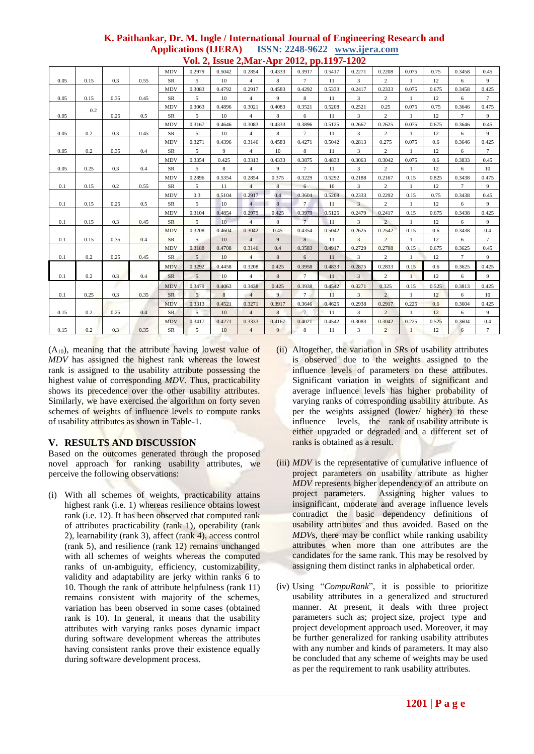|      |      |      |      |            |                 |                  | $\sqrt{01}$ $\sqrt{2}$ $\sqrt{100}$ $\sqrt{10}$ $\sqrt{20}$ |                         | $-0.1 - 9.1$<br>.<br>$1 - 0$ |        |                         |                |              |       |                 |                 |
|------|------|------|------|------------|-----------------|------------------|-------------------------------------------------------------|-------------------------|------------------------------|--------|-------------------------|----------------|--------------|-------|-----------------|-----------------|
|      |      |      |      | <b>MDV</b> | 0.2979          | 0.5042           | 0.2854                                                      | 0.4333                  | 0.3917                       | 0.5417 | 0.2271                  | 0.2208         | 0.075        | 0.75  | 0.3458          | 0.45            |
| 0.05 | 0.15 | 0.3  | 0.55 | ${\rm SR}$ | 5               | 10               | $\overline{4}$                                              | $\,$ 8 $\,$             | $7\overline{ }$              | 11     | 3                       | $\overline{c}$ |              | 12    | 6               | 9               |
|      |      |      |      | <b>MDV</b> | 0.3083          | 0.4792           | 0.2917                                                      | 0.4583                  | 0.4292                       | 0.5333 | 0.2417                  | 0.2333         | 0.075        | 0.675 | 0.3458          | 0.425           |
| 0.05 | 0.15 | 0.35 | 0.45 | ${\rm SR}$ | $5\overline{ }$ | $10\,$           | $\overline{4}$                                              | 9                       | 8                            | 11     | 3                       | $\overline{2}$ | $\mathbf{1}$ | 12    | 6               | $7\overline{ }$ |
|      | 0.2  |      |      | <b>MDV</b> | 0.3063          | 0.4896           | 0.3021                                                      | 0.4083                  | 0.3521                       | 0.5208 | 0.2521                  | 0.25           | 0.075        | 0.75  | 0.3646          | 0.475           |
| 0.05 |      | 0.25 | 0.5  | ${\rm SR}$ | 5               | 10               | $\overline{4}$                                              | $\,$ 8 $\,$             | 6                            | 11     | 3                       | $\overline{c}$ | $\mathbf{1}$ | 12    | $\tau$          | 9               |
|      |      |      |      | <b>MDV</b> | 0.3167          | 0.4646           | 0.3083                                                      | 0.4333                  | 0.3896                       | 0.5125 | 0.2667                  | 0.2625         | 0.075        | 0.675 | 0.3646          | 0.45            |
| 0.05 | 0.2  | 0.3  | 0.45 | SR         | 5               | 10               | $\overline{4}$                                              | 8                       | $\tau$                       | 11     | 3                       | 2              | $\mathbf{1}$ | 12    | 6               | 9               |
|      |      |      |      | <b>MDV</b> | 0.3271          | 0.4396           | 0.3146                                                      | 0.4583                  | 0.4271                       | 0.5042 | 0.2813                  | 0.275          | 0.075        | 0.6   | 0.3646          | 0.425           |
| 0.05 | 0.2  | 0.35 | 0.4  | SR         | 5               | 9                | 4                                                           | 10                      | $\,$ 8 $\,$                  | 11     | 3                       | $\overline{c}$ | $\mathbf{1}$ | 12    | 6               | $\tau$          |
|      |      |      |      | <b>MDV</b> | 0.3354          | 0.425            | 0.3313                                                      | 0.4333                  | 0.3875                       | 0.4833 | 0.3063                  | 0.3042         | 0.075        | 0.6   | 0.3833          | 0.45            |
| 0.05 | 0.25 | 0.3  | 0.4  | SR         | 5               | $\bf 8$          | $\overline{4}$                                              | 9                       | $\overline{7}$               | 11     | 3                       | $\overline{c}$ |              | 12    | 6               | 10              |
|      |      |      |      | <b>MDV</b> | 0.2896          | 0.5354           | 0.2854                                                      | 0.375                   | 0.3229                       | 0.5292 | 0.2188                  | 0.2167         | 0.15         | 0.825 | 0.3438          | 0.475           |
| 0.1  | 0.15 | 0.2  | 0.55 | ${\rm SR}$ | 5               | 11               | $\overline{4}$                                              | $\,$ 8 $\,$             | 6                            | 10     | $\overline{\mathbf{3}}$ | $\overline{c}$ | $\mathbf{1}$ | 12    | $\tau$          | 9               |
|      |      |      |      | <b>MDV</b> | 0.3             | 0.5104           | 0.2917                                                      | 0.4                     | 0.3604                       | 0.5208 | 0.2333                  | 0.2292         | 0.15         | 0.75  | 0.3438          | 0.45            |
| 0.1  | 0.15 | 0.25 | 0.5  | ${\rm SR}$ | 5               | 10               | $\overline{4}$                                              | 8                       | $7\overline{ }$              | 11     | $\overline{3}$          | $\overline{2}$ | $\mathbf{1}$ | 12    | 6               | 9               |
|      |      |      |      | <b>MDV</b> | 0.3104          | 0.4854           | 0.2979                                                      | 0.425                   | 0.3979                       | 0.5125 | 0.2479                  | 0.2417         | 0.15         | 0.675 | 0.3438          | 0.425           |
| 0.1  | 0.15 | 0.3  | 0.45 | SR         | $5\overline{)}$ | 10 <sup>10</sup> | $\overline{4}$                                              | $\overline{\mathbf{8}}$ | $7^{\circ}$                  | 11     | 3                       | $\overline{2}$ | $\mathbf{1}$ | 12    | 6               | 9               |
|      |      |      |      | <b>MDV</b> | 0.3208          | 0.4604           | 0.3042                                                      | 0.45                    | 0.4354                       | 0.5042 | 0.2625                  | 0.2542         | 0.15         | 0.6   | 0.3438          | 0.4             |
| 0.1  | 0.15 | 0.35 | 0.4  | SR         | 5               | 10               | $\overline{4}$                                              | 9                       | 8                            | 11     | 3                       | $\overline{2}$ | $\mathbf{1}$ | 12    | 6               | $\tau$          |
|      |      |      |      | <b>MDV</b> | 0.3188          | 0.4708           | 0.3146                                                      | 0.4                     | 0.3583                       | 0.4917 | 0.2729                  | 0.2708         | 0.15         | 0.675 | 0.3625          | 0.45            |
| 0.1  | 0.2  | 0.25 | 0.45 | SR         | 5               | 10               | $\overline{4}$                                              | $\,$ 8 $\,$             | 6                            | 11     | 3                       | $\overline{2}$ | 1            | 12    | $7\phantom{.0}$ | 9               |
|      |      |      |      | <b>MDV</b> | 0.3292          | 0.4458           | 0.3208                                                      | 0.425                   | 0.3958                       | 0.4833 | 0.2875                  | 0.2833         | 0.15         | 0.6   | 0.3625          | 0.425           |
| 0.1  | 0.2  | 0.3  | 0.4  | SR         | $\overline{5}$  | 10               | $\overline{4}$                                              | 8                       | $7\overline{ }$              | 11     | $\overline{3}$          | $\overline{c}$ | $\mathbf{1}$ | 12    | 6               | 9               |
|      |      |      |      | <b>MDV</b> | 0.3479          | 0.4063           | 0.3438                                                      | 0.425                   | 0.3938                       | 0.4542 | 0.3271                  | 0.325          | 0.15         | 0.525 | 0.3813          | 0.425           |
| 0.1  | 0.25 | 0.3  | 0.35 | SR         | 5               | 8                | $\overline{4}$                                              | 9                       | $7\overline{ }$              | 11     | $\overline{3}$          | $\overline{c}$ | $\mathbf{1}$ | 12    | 6               | 10              |
|      |      |      |      | <b>MDV</b> | 0.3313          | 0.4521           | 0.3271                                                      | 0.3917                  | 0.3646                       | 0.4625 | 0.2938                  | 0.2917         | 0.225        | 0.6   | 0.3604          | 0.425           |
| 0.15 | 0.2  | 0.25 | 0.4  | ${\rm SR}$ | $5\overline{5}$ | 10               | $\overline{4}$                                              | 8                       | $\overline{7}$               | 11     | $\overline{3}$          | $\overline{c}$ | $\mathbf{1}$ | 12    | 6               | 9               |
|      |      |      |      | <b>MDV</b> | 0.3417          | 0.4271           | 0.3333                                                      | 0.4167                  | 0.4021                       | 0.4542 | 0.3083                  | 0.3042         | 0.225        | 0.525 | 0.3604          | $0.4\,$         |
| 0.15 | 0.2  | 0.3  | 0.35 | ${\rm SR}$ | 5               | 10               | $\overline{4}$                                              | 9                       | $\,$ 8 $\,$                  | 11     | 3                       | $\overline{c}$ | $\mathbf{1}$ | 12    | 6               | $7\overline{ }$ |

 $(A_{10})$ , meaning that the attribute having lowest value of *MDV* has assigned the highest rank whereas the lowest rank is assigned to the usability attribute possessing the highest value of corresponding *MDV*. Thus, practicability shows its precedence over the other usability attributes. Similarly, we have exercised the algorithm on forty seven schemes of weights of influence levels to compute ranks of usability attributes as shown in Table-1.

# **V. RESULTS AND DISCUSSION**

Based on the outcomes generated through the proposed novel approach for ranking usability attributes, we perceive the following observations:

- (i) With all schemes of weights, practicability attains highest rank (i.e. 1) whereas resilience obtains lowest rank (i.e. 12). It has been observed that computed rank of attributes practicability (rank 1), operability (rank 2), learnability (rank 3), affect (rank 4), access control (rank 5), and resilience (rank 12) remains unchanged with all schemes of weights whereas the computed ranks of un-ambiguity, efficiency, customizability, validity and adaptability are jerky within ranks 6 to 10. Though the rank of attribute helpfulness (rank 11) remains consistent with majority of the schemes, variation has been observed in some cases (obtained rank is 10). In general, it means that the usability attributes with varying ranks poses dynamic impact during software development whereas the attributes having consistent ranks prove their existence equally during software development process.
- (ii) Altogether, the variation in *SR*s of usability attributes is observed due to the weights assigned to the influence levels of parameters on these attributes. Significant variation in weights of significant and average influence levels has higher probability of varying ranks of corresponding usability attribute. As per the weights assigned (lower/ higher) to these influence levels, the rank of usability attribute is either upgraded or degraded and a different set of ranks is obtained as a result.
- (iii) *MDV* is the representative of cumulative influence of project parameters on usability attribute as higher *MDV* represents higher dependency of an attribute on project parameters. Assigning higher values to insignificant, moderate and average influence levels contradict the basic dependency definitions of usability attributes and thus avoided. Based on the *MDV*s, there may be conflict while ranking usability attributes when more than one attributes are the candidates for the same rank. This may be resolved by assigning them distinct ranks in alphabetical order.
- (iv) Using "*CompuRank*", it is possible to prioritize usability attributes in a generalized and structured manner. At present, it deals with three project parameters such as; project size, project type and project development approach used. Moreover, it may be further generalized for ranking usability attributes with any number and kinds of parameters. It may also be concluded that any scheme of weights may be used as per the requirement to rank usability attributes.